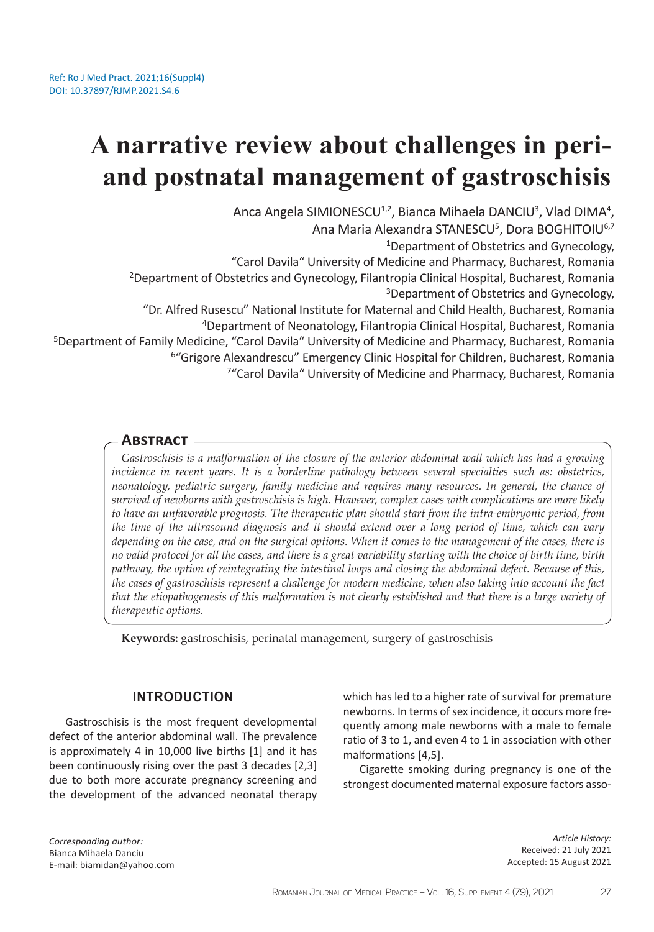# **A narrative review about challenges in periand postnatal management of gastroschisis**

Anca Angela SIMIONESCU<sup>1,2</sup>, Bianca Mihaela DANCIU<sup>3</sup>, Vlad DIMA<sup>4</sup>, Ana Maria Alexandra STANESCU<sup>5</sup>, Dora BOGHITOIU<sup>6,7</sup> <sup>1</sup>Department of Obstetrics and Gynecology, "Carol Davila" University of Medicine and Pharmacy, Bucharest, Romania <sup>2</sup>Department of Obstetrics and Gynecology, Filantropia Clinical Hospital, Bucharest, Romania <sup>3</sup>Department of Obstetrics and Gynecology, "Dr. Alfred Rusescu" National Institute for Maternal and Child Health, Bucharest, Romania <sup>4</sup>Department of Neonatology, Filantropia Clinical Hospital, Bucharest, Romania <sup>5</sup>Department of Family Medicine, "Carol Davila" University of Medicine and Pharmacy, Bucharest, Romania <sup>6"</sup>Grigore Alexandrescu" Emergency Clinic Hospital for Children, Bucharest, Romania <sup>7</sup>"Carol Davila" University of Medicine and Pharmacy, Bucharest, Romania

# **Abstract**

*Gastroschisis is a malformation of the closure of the anterior abdominal wall which has had a growing incidence in recent years. It is a borderline pathology between several specialties such as: obstetrics, neonatology, pediatric surgery, family medicine and requires many resources. In general, the chance of survival of newborns with gastroschisis is high. However, complex cases with complications are more likely to have an unfavorable prognosis. The therapeutic plan should start from the intra-embryonic period, from the time of the ultrasound diagnosis and it should extend over a long period of time, which can vary depending on the case, and on the surgical options. When it comes to the management of the cases, there is no valid protocol for all the cases, and there is a great variability starting with the choice of birth time, birth pathway, the option of reintegrating the intestinal loops and closing the abdominal defect. Because of this, the cases of gastroschisis represent a challenge for modern medicine, when also taking into account the fact that the etiopathogenesis of this malformation is not clearly established and that there is a large variety of therapeutic options.* 

**Keywords:** gastroschisis, perinatal management, surgery of gastroschisis

# **INTRODUCTION**

Gastroschisis is the most frequent developmental defect of the anterior abdominal wall. The prevalence is approximately 4 in 10,000 live births [1] and it has been continuously rising over the past 3 decades [2,3] due to both more accurate pregnancy screening and the development of the advanced neonatal therapy

which has led to a higher rate of survival for premature newborns. In terms of sex incidence, it occurs more frequently among male newborns with a male to female ratio of 3 to 1, and even 4 to 1 in association with other malformations [4,5].

Cigarette smoking during pregnancy is one of the strongest documented maternal exposure factors asso-

*Corresponding author:*  Bianca Mihaela Danciu E-mail: biamidan@yahoo.com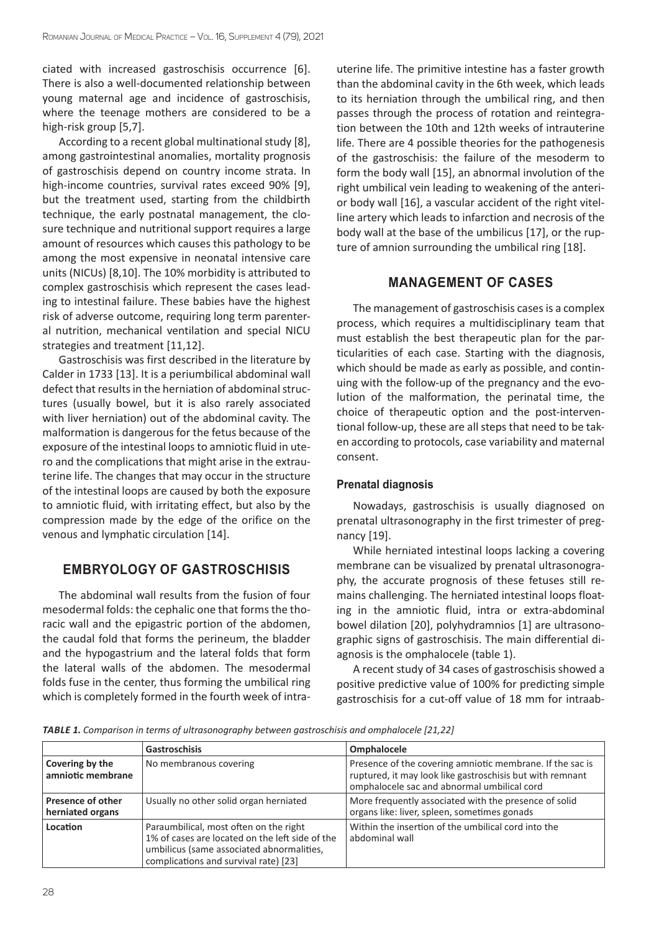ciated with increased gastroschisis occurrence [6]. There is also a well-documented relationship between young maternal age and incidence of gastroschisis, where the teenage mothers are considered to be a high-risk group [5,7].

According to a recent global multinational study [8], among gastrointestinal anomalies, mortality prognosis of gastroschisis depend on country income strata. In high-income countries, survival rates exceed 90% [9], but the treatment used, starting from the childbirth technique, the early postnatal management, the closure technique and nutritional support requires a large amount of resources which causes this pathology to be among the most expensive in neonatal intensive care units (NICUs) [8,10]. The 10% morbidity is attributed to complex gastroschisis which represent the cases leading to intestinal failure. These babies have the highest risk of adverse outcome, requiring long term parenteral nutrition, mechanical ventilation and special NICU strategies and treatment [11,12].

Gastroschisis was first described in the literature by Calder in 1733 [13]. It is a periumbilical abdominal wall defect that results in the herniation of abdominal structures (usually bowel, but it is also rarely associated with liver herniation) out of the abdominal cavity. The malformation is dangerous for the fetus because of the exposure of the intestinal loops to amniotic fluid in utero and the complications that might arise in the extrauterine life. The changes that may occur in the structure of the intestinal loops are caused by both the exposure to amniotic fluid, with irritating effect, but also by the compression made by the edge of the orifice on the venous and lymphatic circulation [14].

# **EMBRYOLOGY OF GASTROSCHISIS**

The abdominal wall results from the fusion of four mesodermal folds: the cephalic one that forms the thoracic wall and the epigastric portion of the abdomen, the caudal fold that forms the perineum, the bladder and the hypogastrium and the lateral folds that form the lateral walls of the abdomen. The mesodermal folds fuse in the center, thus forming the umbilical ring which is completely formed in the fourth week of intrauterine life. The primitive intestine has a faster growth than the abdominal cavity in the 6th week, which leads to its herniation through the umbilical ring, and then passes through the process of rotation and reintegration between the 10th and 12th weeks of intrauterine life. There are 4 possible theories for the pathogenesis of the gastroschisis: the failure of the mesoderm to form the body wall [15], an abnormal involution of the right umbilical vein leading to weakening of the anterior body wall [16], a vascular accident of the right vitelline artery which leads to infarction and necrosis of the body wall at the base of the umbilicus [17], or the rupture of amnion surrounding the umbilical ring [18].

# **MANAGEMENT OF CASES**

The management of gastroschisis cases is a complex process, which requires a multidisciplinary team that must establish the best therapeutic plan for the particularities of each case. Starting with the diagnosis, which should be made as early as possible, and continuing with the follow-up of the pregnancy and the evolution of the malformation, the perinatal time, the choice of therapeutic option and the post-interventional follow-up, these are all steps that need to be taken according to protocols, case variability and maternal consent.

#### **Prenatal diagnosis**

Nowadays, gastroschisis is usually diagnosed on prenatal ultrasonography in the first trimester of pregnancy [19].

While herniated intestinal loops lacking a covering membrane can be visualized by prenatal ultrasonography, the accurate prognosis of these fetuses still remains challenging. The herniated intestinal loops floating in the amniotic fluid, intra or extra-abdominal bowel dilation [20], polyhydramnios [1] are ultrasonographic signs of gastroschisis. The main differential diagnosis is the omphalocele (table 1).

A recent study of 34 cases of gastroschisis showed a positive predictive value of 100% for predicting simple gastroschisis for a cut-off value of 18 mm for intraab-

*TABLE 1. Comparison in terms of ultrasonography between gastroschisis and omphalocele [21,22]*

|                                       | <b>Gastroschisis</b>                                                                                                                                                            | Omphalocele                                                                                                                                                           |
|---------------------------------------|---------------------------------------------------------------------------------------------------------------------------------------------------------------------------------|-----------------------------------------------------------------------------------------------------------------------------------------------------------------------|
| Covering by the<br>amniotic membrane  | No membranous covering                                                                                                                                                          | Presence of the covering amniotic membrane. If the sac is<br>ruptured, it may look like gastroschisis but with remnant<br>omphalocele sac and abnormal umbilical cord |
| Presence of other<br>herniated organs | Usually no other solid organ herniated                                                                                                                                          | More frequently associated with the presence of solid<br>organs like: liver, spleen, sometimes gonads                                                                 |
| Location                              | Paraumbilical, most often on the right<br>1% of cases are located on the left side of the<br>umbilicus (same associated abnormalities,<br>complications and survival rate) [23] | Within the insertion of the umbilical cord into the<br>abdominal wall                                                                                                 |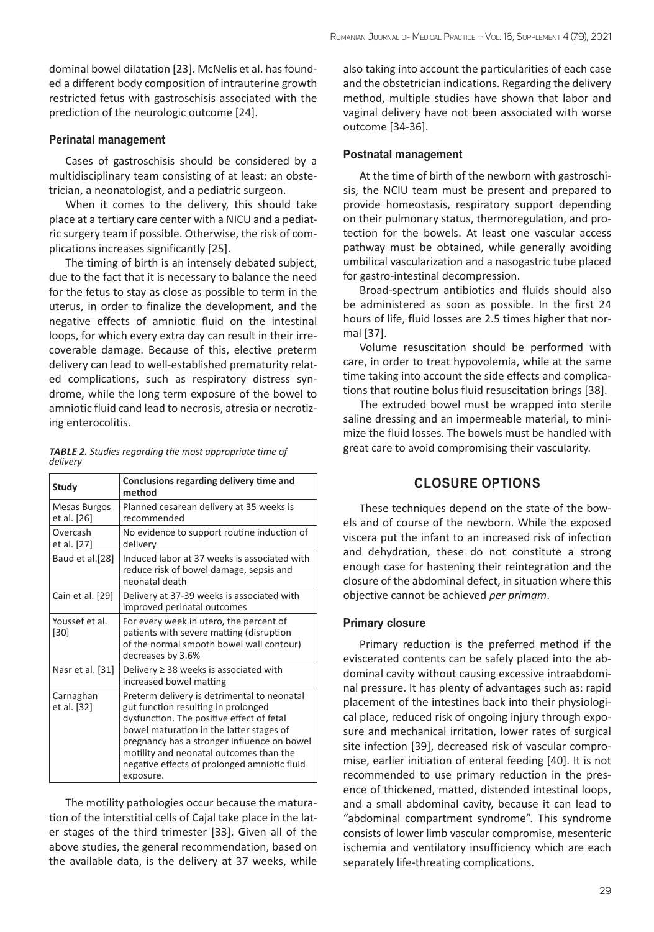dominal bowel dilatation [23]. McNelis et al. has founded a different body composition of intrauterine growth restricted fetus with gastroschisis associated with the prediction of the neurologic outcome [24].

#### **Perinatal management**

Cases of gastroschisis should be considered by a multidisciplinary team consisting of at least: an obstetrician, a neonatologist, and a pediatric surgeon.

When it comes to the delivery, this should take place at a tertiary care center with a NICU and a pediatric surgery team if possible. Otherwise, the risk of complications increases significantly [25].

The timing of birth is an intensely debated subject, due to the fact that it is necessary to balance the need for the fetus to stay as close as possible to term in the uterus, in order to finalize the development, and the negative effects of amniotic fluid on the intestinal loops, for which every extra day can result in their irrecoverable damage. Because of this, elective preterm delivery can lead to well-established prematurity related complications, such as respiratory distress syndrome, while the long term exposure of the bowel to amniotic fluid cand lead to necrosis, atresia or necrotizing enterocolitis.

|          | <b>TABLE 2.</b> Studies regarding the most appropriate time of |
|----------|----------------------------------------------------------------|
| delivery |                                                                |

| Study                       | Conclusions regarding delivery time and<br>method                                                                                                                                                                                                                                                                                  |
|-----------------------------|------------------------------------------------------------------------------------------------------------------------------------------------------------------------------------------------------------------------------------------------------------------------------------------------------------------------------------|
| Mesas Burgos<br>et al. [26] | Planned cesarean delivery at 35 weeks is<br>recommended                                                                                                                                                                                                                                                                            |
| Overcash<br>et al. [27]     | No evidence to support routine induction of<br>delivery                                                                                                                                                                                                                                                                            |
| Baud et al.[28]             | Induced labor at 37 weeks is associated with<br>reduce risk of bowel damage, sepsis and<br>neonatal death                                                                                                                                                                                                                          |
| Cain et al. [29]            | Delivery at 37-39 weeks is associated with<br>improved perinatal outcomes                                                                                                                                                                                                                                                          |
| Youssef et al.<br>[30]      | For every week in utero, the percent of<br>patients with severe matting (disruption<br>of the normal smooth bowel wall contour)<br>decreases by 3.6%                                                                                                                                                                               |
| Nasr et al. [31]            | Delivery $\geq$ 38 weeks is associated with<br>increased bowel matting                                                                                                                                                                                                                                                             |
| Carnaghan<br>et al. [32]    | Preterm delivery is detrimental to neonatal<br>gut function resulting in prolonged<br>dysfunction. The positive effect of fetal<br>bowel maturation in the latter stages of<br>pregnancy has a stronger influence on bowel<br>motility and neonatal outcomes than the<br>negative effects of prolonged amniotic fluid<br>exposure. |

The motility pathologies occur because the maturation of the interstitial cells of Cajal take place in the later stages of the third trimester [33]. Given all of the above studies, the general recommendation, based on the available data, is the delivery at 37 weeks, while

also taking into account the particularities of each case and the obstetrician indications. Regarding the delivery method, multiple studies have shown that labor and vaginal delivery have not been associated with worse outcome [34-36].

#### **Postnatal management**

At the time of birth of the newborn with gastroschisis, the NCIU team must be present and prepared to provide homeostasis, respiratory support depending on their pulmonary status, thermoregulation, and protection for the bowels. At least one vascular access pathway must be obtained, while generally avoiding umbilical vascularization and a nasogastric tube placed for gastro-intestinal decompression.

Broad-spectrum antibiotics and fluids should also be administered as soon as possible. In the first 24 hours of life, fluid losses are 2.5 times higher that normal [37].

Volume resuscitation should be performed with care, in order to treat hypovolemia, while at the same time taking into account the side effects and complications that routine bolus fluid resuscitation brings [38].

The extruded bowel must be wrapped into sterile saline dressing and an impermeable material, to minimize the fluid losses. The bowels must be handled with great care to avoid compromising their vascularity.

# **CLOSURE OPTIONS**

These techniques depend on the state of the bowels and of course of the newborn. While the exposed viscera put the infant to an increased risk of infection and dehydration, these do not constitute a strong enough case for hastening their reintegration and the closure of the abdominal defect, in situation where this objective cannot be achieved *per primam*.

#### **Primary closure**

Primary reduction is the preferred method if the eviscerated contents can be safely placed into the abdominal cavity without causing excessive intraabdominal pressure. It has plenty of advantages such as: rapid placement of the intestines back into their physiological place, reduced risk of ongoing injury through exposure and mechanical irritation, lower rates of surgical site infection [39], decreased risk of vascular compromise, earlier initiation of enteral feeding [40]. It is not recommended to use primary reduction in the presence of thickened, matted, distended intestinal loops, and a small abdominal cavity, because it can lead to "abdominal compartment syndrome". This syndrome consists of lower limb vascular compromise, mesenteric ischemia and ventilatory insufficiency which are each separately life-threating complications.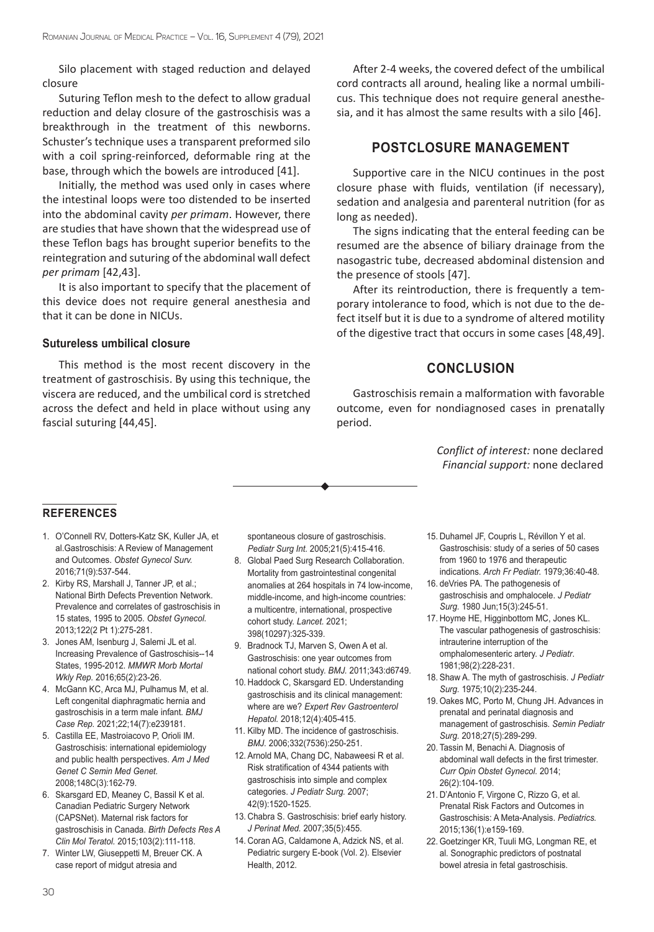Silo placement with staged reduction and delayed closure

Suturing Teflon mesh to the defect to allow gradual reduction and delay closure of the gastroschisis was a breakthrough in the treatment of this newborns. Schuster's technique uses a transparent preformed silo with a coil spring-reinforced, deformable ring at the base, through which the bowels are introduced [41].

Initially, the method was used only in cases where the intestinal loops were too distended to be inserted into the abdominal cavity *per primam*. However, there are studies that have shown that the widespread use of these Teflon bags has brought superior benefits to the reintegration and suturing of the abdominal wall defect *per primam* [42,43].

It is also important to specify that the placement of this device does not require general anesthesia and that it can be done in NICUs.

#### **Sutureless umbilical closure**

This method is the most recent discovery in the treatment of gastroschisis. By using this technique, the viscera are reduced, and the umbilical cord is stretched across the defect and held in place without using any fascial suturing [44,45].

After 2-4 weeks, the covered defect of the umbilical cord contracts all around, healing like a normal umbilicus. This technique does not require general anesthesia, and it has almost the same results with a silo [46].

### **POSTCLOSURE MANAGEMENT**

Supportive care in the NICU continues in the post closure phase with fluids, ventilation (if necessary), sedation and analgesia and parenteral nutrition (for as long as needed).

The signs indicating that the enteral feeding can be resumed are the absence of biliary drainage from the nasogastric tube, decreased abdominal distension and the presence of stools [47].

After its reintroduction, there is frequently a temporary intolerance to food, which is not due to the defect itself but it is due to a syndrome of altered motility of the digestive tract that occurs in some cases [48,49].

# **CONCLUSION**

Gastroschisis remain a malformation with favorable outcome, even for nondiagnosed cases in prenatally period.

> *Conflict of interest:* none declared *Financial support:* none declared

#### **REFERENCES**

- 1. O'Connell RV, Dotters-Katz SK, Kuller JA, et al.Gastroschisis: A Review of Management and Outcomes. *Obstet Gynecol Surv.* 2016;71(9):537-544.
- 2. Kirby RS, Marshall J, Tanner JP, et al.; National Birth Defects Prevention Network. Prevalence and correlates of gastroschisis in 15 states, 1995 to 2005. *Obstet Gynecol.* 2013;122(2 Pt 1):275-281.
- 3. Jones AM, Isenburg J, Salemi JL et al. Increasing Prevalence of Gastroschisis--14 States, 1995-2012. *MMWR Morb Mortal Wkly Rep.* 2016;65(2):23-26.
- 4. McGann KC, Arca MJ, Pulhamus M, et al. Left congenital diaphragmatic hernia and gastroschisis in a term male infant*. BMJ Case Rep.* 2021;22;14(7):e239181.
- 5. Castilla EE, Mastroiacovo P, Orioli IM. Gastroschisis: international epidemiology and public health perspectives. *Am J Med Genet C Semin Med Genet.* 2008;148C(3):162-79.
- 6. Skarsgard ED, Meaney C, Bassil K et al. Canadian Pediatric Surgery Network (CAPSNet). Maternal risk factors for gastroschisis in Canada. *Birth Defects Res A Clin Mol Teratol.* 2015;103(2):111-118.
- 7. Winter LW, Giuseppetti M, Breuer CK. A case report of midgut atresia and

spontaneous closure of gastroschisis. *Pediatr Surg Int.* 2005;21(5):415-416.

- 8. Global Paed Surg Research Collaboration. Mortality from gastrointestinal congenital anomalies at 264 hospitals in 74 low-income, middle-income, and high-income countries: a multicentre, international, prospective cohort study. *Lancet.* 2021; 398(10297):325-339.
- 9. Bradnock TJ, Marven S, Owen A et al. Gastroschisis: one year outcomes from national cohort study. *BMJ.* 2011;343:d6749.
- 10. Haddock C, Skarsgard ED. Understanding gastroschisis and its clinical management: where are we? *Expert Rev Gastroenterol Hepatol.* 2018;12(4):405-415.
- 11. Kilby MD. The incidence of gastroschisis. *BMJ.* 2006;332(7536):250-251.
- 12. Arnold MA, Chang DC, Nabaweesi R et al. Risk stratification of 4344 patients with gastroschisis into simple and complex categories. *J Pediatr Surg.* 2007; 42(9):1520-1525.
- 13. Chabra S. Gastroschisis: brief early history. *J Perinat Med.* 2007;35(5):455.
- 14. Coran AG, Caldamone A, Adzick NS, et al. Pediatric surgery E-book (Vol. 2). Elsevier Health, 2012.
- 15. Duhamel JF, Coupris L, Révillon Y et al. Gastroschisis: study of a series of 50 cases from 1960 to 1976 and therapeutic indications. *Arch Fr Pediatr.* 1979;36:40-48.
- 16. deVries PA. The pathogenesis of gastroschisis and omphalocele. *J Pediatr Surg.* 1980 Jun;15(3):245-51.
- 17. Hoyme HE, Higginbottom MC, Jones KL. The vascular pathogenesis of gastroschisis: intrauterine interruption of the omphalomesenteric artery. *J Pediatr*. 1981;98(2):228-231.
- 18. Shaw A. The myth of gastroschisis. *J Pediatr Surg.* 1975;10(2):235-244.
- 19. Oakes MC, Porto M, Chung JH. Advances in prenatal and perinatal diagnosis and management of gastroschisis. *Semin Pediatr Surg.* 2018;27(5):289-299.
- 20. Tassin M, Benachi A. Diagnosis of abdominal wall defects in the first trimester. *Curr Opin Obstet Gynecol.* 2014; 26(2):104-109.
- 21. D'Antonio F, Virgone C, Rizzo G, et al. Prenatal Risk Factors and Outcomes in Gastroschisis: A Meta-Analysis. *Pediatrics.* 2015;136(1):e159-169.
- 22. Goetzinger KR, Tuuli MG, Longman RE, et al. Sonographic predictors of postnatal bowel atresia in fetal gastroschisis.